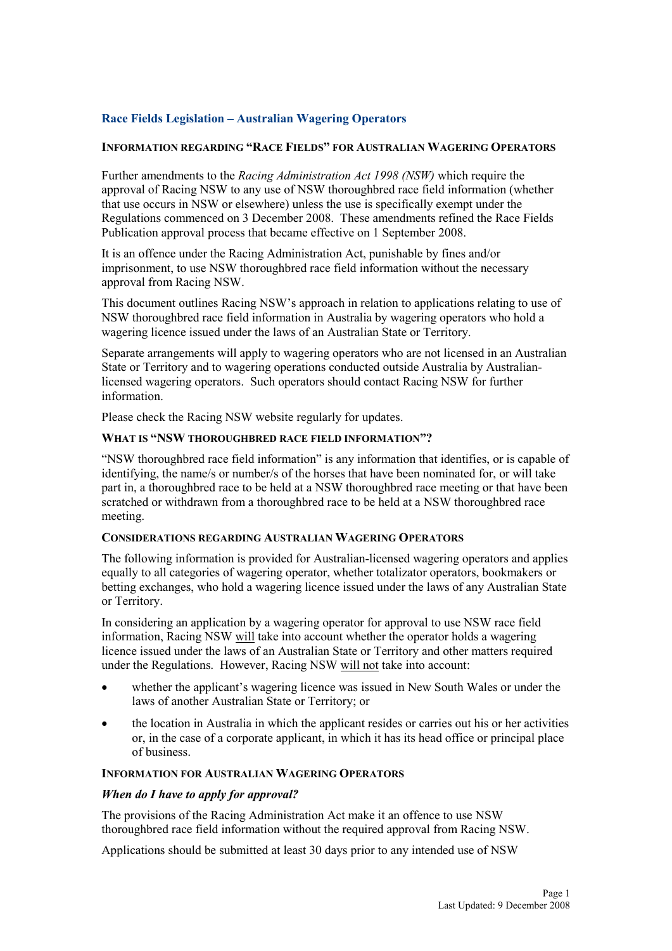# **Race Fields Legislation – Australian Wagering Operators**

### **IFORMATIO REGARDIG "RACE FIELDS" FOR AUSTRALIA WAGERIG OPERATORS**

Further amendments to the *Racing Administration Act 1998 (NSW)* which require the approval of Racing NSW to any use of NSW thoroughbred race field information (whether that use occurs in NSW or elsewhere) unless the use is specifically exempt under the Regulations commenced on 3 December 2008. These amendments refined the Race Fields Publication approval process that became effective on 1 September 2008.

It is an offence under the Racing Administration Act, punishable by fines and/or imprisonment, to use NSW thoroughbred race field information without the necessary approval from Racing NSW.

This document outlines Racing NSW's approach in relation to applications relating to use of NSW thoroughbred race field information in Australia by wagering operators who hold a wagering licence issued under the laws of an Australian State or Territory.

Separate arrangements will apply to wagering operators who are not licensed in an Australian State or Territory and to wagering operations conducted outside Australia by Australianlicensed wagering operators. Such operators should contact Racing NSW for further information.

Please check the Racing NSW website regularly for updates.

### **WHAT IS "SW THOROUGHBRED RACE FIELD IFORMATIO"?**

"NSW thoroughbred race field information" is any information that identifies, or is capable of identifying, the name/s or number/s of the horses that have been nominated for, or will take part in, a thoroughbred race to be held at a NSW thoroughbred race meeting or that have been scratched or withdrawn from a thoroughbred race to be held at a NSW thoroughbred race meeting.

#### **COSIDERATIOS REGARDIG AUSTRALIA WAGERIG OPERATORS**

The following information is provided for Australian-licensed wagering operators and applies equally to all categories of wagering operator, whether totalizator operators, bookmakers or betting exchanges, who hold a wagering licence issued under the laws of any Australian State or Territory.

In considering an application by a wagering operator for approval to use NSW race field information, Racing NSW will take into account whether the operator holds a wagering licence issued under the laws of an Australian State or Territory and other matters required under the Regulations. However, Racing NSW will not take into account:

- whether the applicant's wagering licence was issued in New South Wales or under the laws of another Australian State or Territory; or
- the location in Australia in which the applicant resides or carries out his or her activities or, in the case of a corporate applicant, in which it has its head office or principal place of business.

#### **IFORMATIO FOR AUSTRALIA WAGERIG OPERATORS**

#### *When do I have to apply for approval?*

The provisions of the Racing Administration Act make it an offence to use NSW thoroughbred race field information without the required approval from Racing NSW.

Applications should be submitted at least 30 days prior to any intended use of NSW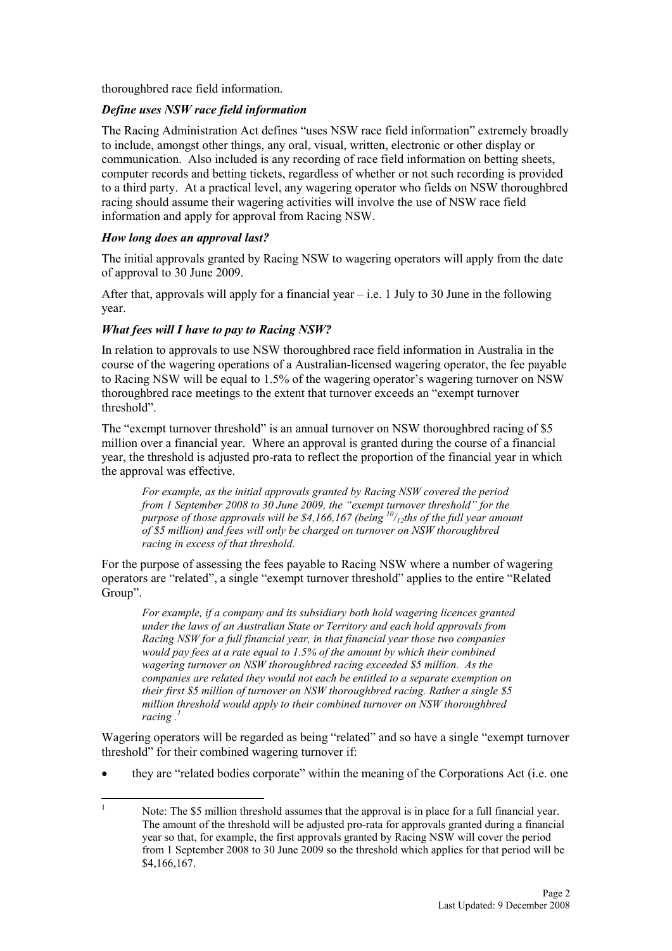thoroughbred race field information.

# *Define uses SW race field information*

The Racing Administration Act defines "uses NSW race field information" extremely broadly to include, amongst other things, any oral, visual, written, electronic or other display or communication. Also included is any recording of race field information on betting sheets, computer records and betting tickets, regardless of whether or not such recording is provided to a third party. At a practical level, any wagering operator who fields on NSW thoroughbred racing should assume their wagering activities will involve the use of NSW race field information and apply for approval from Racing NSW.

## *How long does an approval last?*

The initial approvals granted by Racing NSW to wagering operators will apply from the date of approval to 30 June 2009.

After that, approvals will apply for a financial year  $-$  i.e. 1 July to 30 June in the following year.

## *What fees will I have to pay to Racing NSW?*

In relation to approvals to use NSW thoroughbred race field information in Australia in the course of the wagering operations of a Australian-licensed wagering operator, the fee payable to Racing NSW will be equal to 1.5% of the wagering operator's wagering turnover on NSW thoroughbred race meetings to the extent that turnover exceeds an "exempt turnover threshold".

The "exempt turnover threshold" is an annual turnover on NSW thoroughbred racing of \$5 million over a financial year. Where an approval is granted during the course of a financial year, the threshold is adjusted pro-rata to reflect the proportion of the financial year in which the approval was effective.

*For example, as the initial approvals granted by Racing NSW covered the period from 1 September 2008 to 30 June 2009, the "exempt turnover threshold" for the purpose of those approvals will be \$4,166,167 (being <sup>10</sup>/12ths of the full year amount of \$5 million) and fees will only be charged on turnover on SW thoroughbred racing in excess of that threshold.* 

For the purpose of assessing the fees payable to Racing NSW where a number of wagering operators are "related", a single "exempt turnover threshold" applies to the entire "Related Group".

*For example, if a company and its subsidiary both hold wagering licences granted under the laws of an Australian State or Territory and each hold approvals from Racing SW for a full financial year, in that financial year those two companies would pay fees at a rate equal to 1.5% of the amount by which their combined wagering turnover on SW thoroughbred racing exceeded \$5 million. As the companies are related they would not each be entitled to a separate exemption on their first \$5 million of turnover on SW thoroughbred racing. Rather a single \$5 million threshold would apply to their combined turnover on SW thoroughbred racing .<sup>1</sup>*

Wagering operators will be regarded as being "related" and so have a single "exempt turnover threshold" for their combined wagering turnover if:

• they are "related bodies corporate" within the meaning of the Corporations Act (i.e. one

 $\frac{1}{1}$  Note: The \$5 million threshold assumes that the approval is in place for a full financial year. The amount of the threshold will be adjusted pro-rata for approvals granted during a financial year so that, for example, the first approvals granted by Racing NSW will cover the period from 1 September 2008 to 30 June 2009 so the threshold which applies for that period will be \$4,166,167.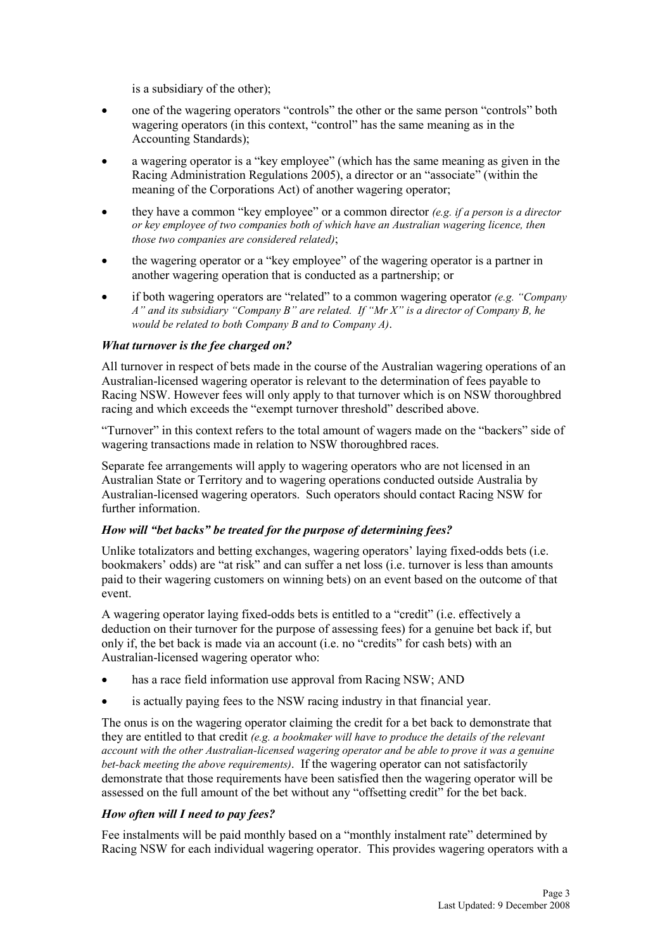is a subsidiary of the other);

- one of the wagering operators "controls" the other or the same person "controls" both wagering operators (in this context, "control" has the same meaning as in the Accounting Standards);
- a wagering operator is a "key employee" (which has the same meaning as given in the Racing Administration Regulations 2005), a director or an "associate" (within the meaning of the Corporations Act) of another wagering operator;
- they have a common "key employee" or a common director *(e.g. if a person is a director or key employee of two companies both of which have an Australian wagering licence, then those two companies are considered related)*;
- the wagering operator or a "key employee" of the wagering operator is a partner in another wagering operation that is conducted as a partnership; or
- if both wagering operators are "related" to a common wagering operator *(e.g. "Company A" and its subsidiary "Company B" are related. If "Mr X" is a director of Company B, he would be related to both Company B and to Company A)*.

## *What turnover is the fee charged on?*

All turnover in respect of bets made in the course of the Australian wagering operations of an Australian-licensed wagering operator is relevant to the determination of fees payable to Racing NSW. However fees will only apply to that turnover which is on NSW thoroughbred racing and which exceeds the "exempt turnover threshold" described above.

"Turnover" in this context refers to the total amount of wagers made on the "backers" side of wagering transactions made in relation to NSW thoroughbred races.

Separate fee arrangements will apply to wagering operators who are not licensed in an Australian State or Territory and to wagering operations conducted outside Australia by Australian-licensed wagering operators. Such operators should contact Racing NSW for further information.

### *How will "bet backs" be treated for the purpose of determining fees?*

Unlike totalizators and betting exchanges, wagering operators' laying fixed-odds bets (i.e. bookmakers' odds) are "at risk" and can suffer a net loss (i.e. turnover is less than amounts paid to their wagering customers on winning bets) on an event based on the outcome of that event.

A wagering operator laying fixed-odds bets is entitled to a "credit" (i.e. effectively a deduction on their turnover for the purpose of assessing fees) for a genuine bet back if, but only if, the bet back is made via an account (i.e. no "credits" for cash bets) with an Australian-licensed wagering operator who:

- has a race field information use approval from Racing NSW; AND
- is actually paying fees to the NSW racing industry in that financial year.

The onus is on the wagering operator claiming the credit for a bet back to demonstrate that they are entitled to that credit *(e.g. a bookmaker will have to produce the details of the relevant account with the other Australian-licensed wagering operator and be able to prove it was a genuine bet-back meeting the above requirements)*. If the wagering operator can not satisfactorily demonstrate that those requirements have been satisfied then the wagering operator will be assessed on the full amount of the bet without any "offsetting credit" for the bet back.

# *How often will I need to pay fees?*

Fee instalments will be paid monthly based on a "monthly instalment rate" determined by Racing NSW for each individual wagering operator. This provides wagering operators with a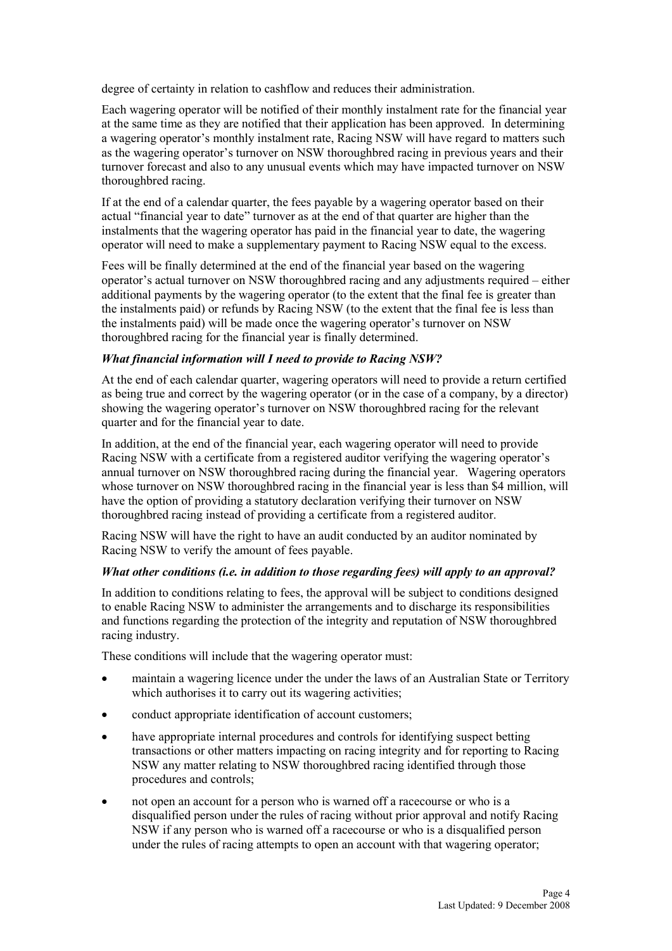degree of certainty in relation to cashflow and reduces their administration.

Each wagering operator will be notified of their monthly instalment rate for the financial year at the same time as they are notified that their application has been approved. In determining a wagering operator's monthly instalment rate, Racing NSW will have regard to matters such as the wagering operator's turnover on NSW thoroughbred racing in previous years and their turnover forecast and also to any unusual events which may have impacted turnover on NSW thoroughbred racing.

If at the end of a calendar quarter, the fees payable by a wagering operator based on their actual "financial year to date" turnover as at the end of that quarter are higher than the instalments that the wagering operator has paid in the financial year to date, the wagering operator will need to make a supplementary payment to Racing NSW equal to the excess.

Fees will be finally determined at the end of the financial year based on the wagering operator's actual turnover on NSW thoroughbred racing and any adjustments required – either additional payments by the wagering operator (to the extent that the final fee is greater than the instalments paid) or refunds by Racing NSW (to the extent that the final fee is less than the instalments paid) will be made once the wagering operator's turnover on NSW thoroughbred racing for the financial year is finally determined.

## *What financial information will I need to provide to Racing NSW?*

At the end of each calendar quarter, wagering operators will need to provide a return certified as being true and correct by the wagering operator (or in the case of a company, by a director) showing the wagering operator's turnover on NSW thoroughbred racing for the relevant quarter and for the financial year to date.

In addition, at the end of the financial year, each wagering operator will need to provide Racing NSW with a certificate from a registered auditor verifying the wagering operator's annual turnover on NSW thoroughbred racing during the financial year. Wagering operators whose turnover on NSW thoroughbred racing in the financial year is less than \$4 million, will have the option of providing a statutory declaration verifying their turnover on NSW thoroughbred racing instead of providing a certificate from a registered auditor.

Racing NSW will have the right to have an audit conducted by an auditor nominated by Racing NSW to verify the amount of fees payable.

### *What other conditions (i.e. in addition to those regarding fees) will apply to an approval?*

In addition to conditions relating to fees, the approval will be subject to conditions designed to enable Racing NSW to administer the arrangements and to discharge its responsibilities and functions regarding the protection of the integrity and reputation of NSW thoroughbred racing industry.

These conditions will include that the wagering operator must:

- maintain a wagering licence under the under the laws of an Australian State or Territory which authorises it to carry out its wagering activities;
- conduct appropriate identification of account customers;
- have appropriate internal procedures and controls for identifying suspect betting transactions or other matters impacting on racing integrity and for reporting to Racing NSW any matter relating to NSW thoroughbred racing identified through those procedures and controls;
- not open an account for a person who is warned off a racecourse or who is a disqualified person under the rules of racing without prior approval and notify Racing NSW if any person who is warned off a racecourse or who is a disqualified person under the rules of racing attempts to open an account with that wagering operator;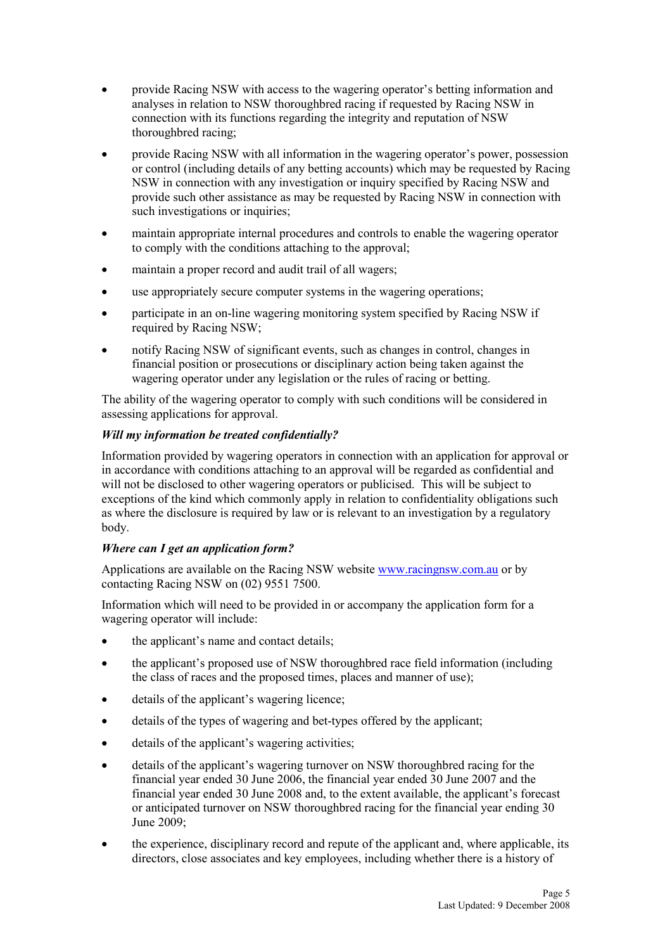- provide Racing NSW with access to the wagering operator's betting information and analyses in relation to NSW thoroughbred racing if requested by Racing NSW in connection with its functions regarding the integrity and reputation of NSW thoroughbred racing;
- provide Racing NSW with all information in the wagering operator's power, possession or control (including details of any betting accounts) which may be requested by Racing NSW in connection with any investigation or inquiry specified by Racing NSW and provide such other assistance as may be requested by Racing NSW in connection with such investigations or inquiries;
- maintain appropriate internal procedures and controls to enable the wagering operator to comply with the conditions attaching to the approval;
- maintain a proper record and audit trail of all wagers;
- use appropriately secure computer systems in the wagering operations;
- participate in an on-line wagering monitoring system specified by Racing NSW if required by Racing NSW;
- notify Racing NSW of significant events, such as changes in control, changes in financial position or prosecutions or disciplinary action being taken against the wagering operator under any legislation or the rules of racing or betting.

The ability of the wagering operator to comply with such conditions will be considered in assessing applications for approval.

# *Will my information be treated confidentially?*

Information provided by wagering operators in connection with an application for approval or in accordance with conditions attaching to an approval will be regarded as confidential and will not be disclosed to other wagering operators or publicised. This will be subject to exceptions of the kind which commonly apply in relation to confidentiality obligations such as where the disclosure is required by law or is relevant to an investigation by a regulatory body.

# *Where can I get an application form?*

Applications are available on the Racing NSW website www.racingnsw.com.au or by contacting Racing NSW on (02) 9551 7500.

Information which will need to be provided in or accompany the application form for a wagering operator will include:

- the applicant's name and contact details;
- the applicant's proposed use of NSW thoroughbred race field information (including the class of races and the proposed times, places and manner of use);
- details of the applicant's wagering licence;
- details of the types of wagering and bet-types offered by the applicant;
- details of the applicant's wagering activities;
- details of the applicant's wagering turnover on NSW thoroughbred racing for the financial year ended 30 June 2006, the financial year ended 30 June 2007 and the financial year ended 30 June 2008 and, to the extent available, the applicant's forecast or anticipated turnover on NSW thoroughbred racing for the financial year ending 30 June 2009;
- the experience, disciplinary record and repute of the applicant and, where applicable, its directors, close associates and key employees, including whether there is a history of